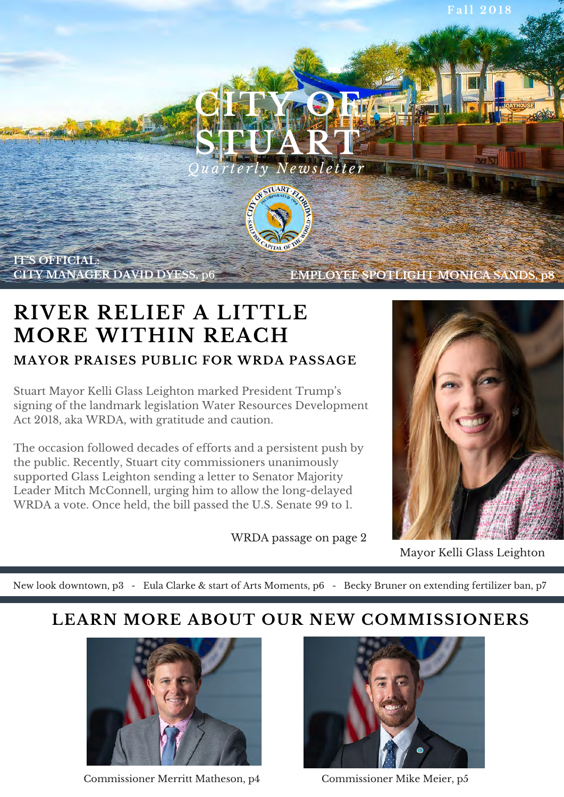

### **RIVER RELIEF A LITTLE MORE WITHIN REACH MAYOR PRAISES PUBLIC FOR WRDA PASSAGE**

Stuart Mayor Kelli Glass Leighton marked President Trump's signing of the landmark legislation Water Resources Development Act 2018, aka WRDA, with gratitude and caution.

The occasion followed decades of efforts and a persistent push by the public. Recently, Stuart city commissioners unanimously supported Glass Leighton sending a letter to Senator Majority Leader Mitch McConnell, urging him to allow the long-delayed WRDA a vote. Once held, the bill passed the U.S. Senate 99 to 1.

WRDA passage on page 2



Mayor Kelli Glass Leighton

New look downtown, p3 - Eula Clarke & start of Arts Moments, p6 - Becky Bruner on extending fertilizer ban, p7

### **LEARN MORE ABOUT OUR NEW COMMISSIONERS**



Commissioner Merritt Matheson, p4 Commissioner Mike Meier, p5

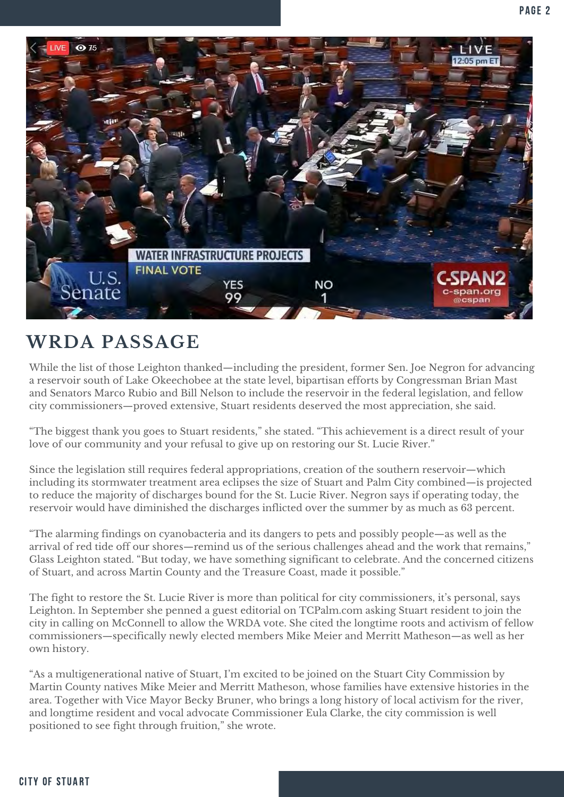

### **WRDA PASSAGE**

While the list of those Leighton thanked—including the president, former Sen. Joe Negron for advancing a reservoir south of Lake Okeechobee at the state level, bipartisan efforts by Congressman Brian Mast and Senators Marco Rubio and Bill Nelson to include the reservoir in the federal legislation, and fellow city commissioners—proved extensive, Stuart residents deserved the most appreciation, she said.

"The biggest thank you goes to Stuart residents," she stated. "This achievement is a direct result of your love of our community and your refusal to give up on restoring our St. Lucie River."

Since the legislation still requires federal appropriations, creation of the southern reservoir—which including its stormwater treatment area eclipses the size of Stuart and Palm City combined—is projected to reduce the majority of discharges bound for the St. Lucie River. Negron says if operating today, the reservoir would have diminished the discharges inflicted over the summer by as much as 63 percent.

"The alarming findings on cyanobacteria and its dangers to pets and possibly people—as well as the arrival of red tide off our shores—remind us of the serious challenges ahead and the work that remains," Glass Leighton stated. "But today, we have something significant to celebrate. And the concerned citizens of Stuart, and across Martin County and the Treasure Coast, made it possible."

The fight to restore the St. Lucie River is more than political for city commissioners, it's personal, says Leighton. In September she penned a guest editorial on TCPalm.com asking Stuart resident to join the city in calling on McConnell to allow the WRDA vote. She cited the longtime roots and activism of fellow commissioners—specifically newly elected members Mike Meier and Merritt Matheson—as well as her own history.

"As a multigenerational native of Stuart, I'm excited to be joined on the Stuart City Commission by Martin County natives Mike Meier and Merritt Matheson, whose families have extensive histories in the area. Together with Vice Mayor Becky Bruner, who brings a long history of local activism for the river, and longtime resident and vocal advocate Commissioner Eula Clarke, the city commission is well positioned to see fight through fruition," she wrote.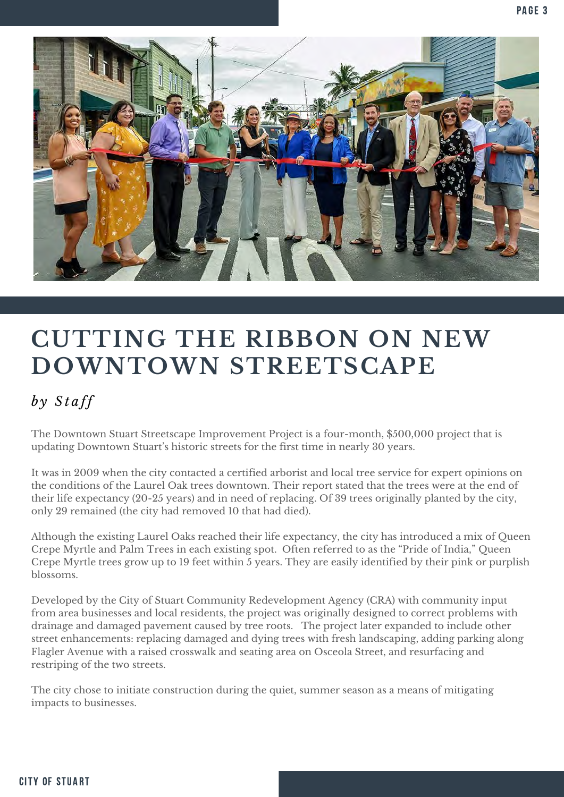

## **CUTTING THE RIBBON ON NEW DOWNTOWN STREETSCAPE**

### $by$  Staff

The Downtown Stuart Streetscape Improvement Project is a four-month, \$500,000 project that is updating Downtown Stuart's historic streets for the first time in nearly 30 years.

It was in 2009 when the city contacted a certified arborist and local tree service for expert opinions on the conditions of the Laurel Oak trees downtown. Their report stated that the trees were at the end of their life expectancy (20-25 years) and in need of replacing. Of 39 trees originally planted by the city, only 29 remained (the city had removed 10 that had died).

Although the existing Laurel Oaks reached their life expectancy, the city has introduced a mix of Queen Crepe Myrtle and Palm Trees in each existing spot. Often referred to as the "Pride of India," Queen Crepe Myrtle trees grow up to 19 feet within 5 years. They are easily identified by their pink or purplish blossoms.

Developed by the City of Stuart Community Redevelopment Agency (CRA) with community input from area businesses and local residents, the project was originally designed to correct problems with drainage and damaged pavement caused by tree roots. The project later expanded to include other street enhancements: replacing damaged and dying trees with fresh landscaping, adding parking along Flagler Avenue with a raised crosswalk and seating area on Osceola Street, and resurfacing and restriping of the two streets.

The city chose to initiate construction during the quiet, summer season as a means of mitigating impacts to businesses.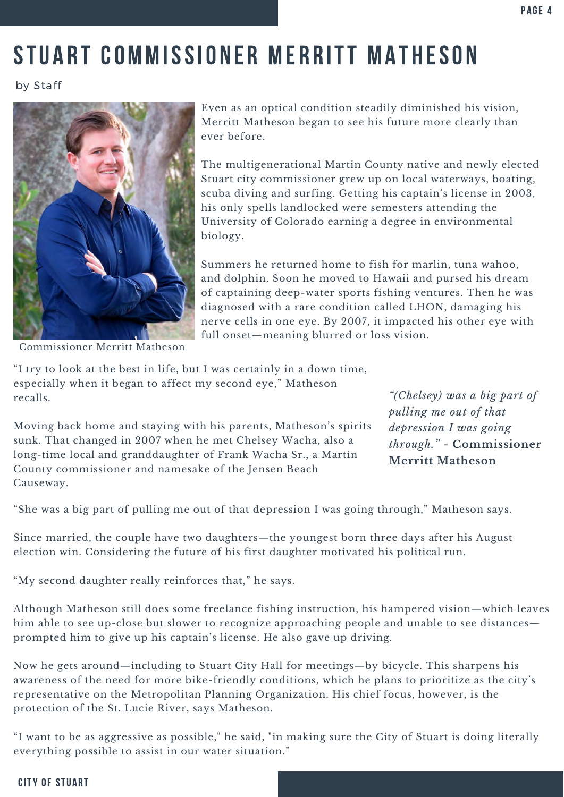## STUART COMMISSIONER MERRITT MATHESON

by Staff



 Even as an optical condition steadily diminished his vision, Merritt Matheson began to see his future more clearly than ever before.

 The multigenerational Martin County native and newly elected Stuart city commissioner grew up on local waterways, boating, scuba diving and surfing. Getting his captain's license in 2003, his only spells landlocked were semesters attending the University of Colorado earning a degree in environmental biology.

 Summers he returned home to fish for marlin, tuna wahoo, and dolphin. Soon he moved to Hawaii and pursed his dream of captaining deep-water sports fishing ventures. Then he was diagnosed with a rare condition called LHON, damaging his nerve cells in one eye. By 2007, it impacted his other eye with full onset—meaning blurred or loss vision.

Commissioner Merritt Matheson

 "I try to look at the best in life, but I was certainly in a down time, especially when it began to affect my second eye," Matheson recalls.  recalls. *"(Chelsey) was a big part of* 

 Moving back home and staying with his parents, Matheson's spirits *depression I was going*  sunk. That changed in 2007 when he met Chelsey Wacha, also a *through."* - **Commissioner**  long-time local and granddaughter of Frank Wacha Sr., a Martin long-time local and granddaughter of Frank Wacha Sr., a Martin **Merritt Matheson** County commissioner and namesake of the Jensen Beach Causeway.

 *pulling me out of that depression I was going* through." - Commissioner

"She was a big part of pulling me out of that depression I was going through," Matheson says.

 Since married, the couple have two daughters—the youngest born three days after his August election win. Considering the future of his first daughter motivated his political run.

"My second daughter really reinforces that," he says.

 Although Matheson still does some freelance fishing instruction, his hampered vision—which leaves him able to see up-close but slower to recognize approaching people and unable to see distances— prompted him to give up his captain's license. He also gave up driving.

 Now he gets around—including to Stuart City Hall for meetings—by bicycle. This sharpens his awareness of the need for more bike-friendly conditions, which he plans to prioritize as the city's representative on the Metropolitan Planning Organization. His chief focus, however, is the protection of the St. Lucie River, says Matheson.

 "I want to be as aggressive as possible," he said, "in making sure the City of Stuart is doing literally everything possible to assist in our water situation."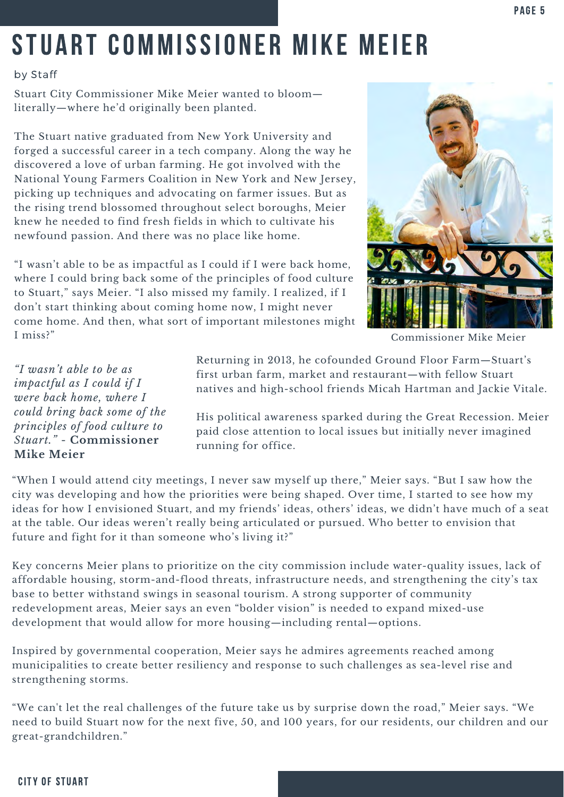## STUART COMMISSIONER MIKE MEIER

#### by Staff

 Stuart City Commissioner Mike Meier wanted to bloom— literally—where he'd originally been planted.

 The Stuart native graduated from New York University and forged a successful career in a tech company. Along the way he discovered a love of urban farming. He got involved with the National Young Farmers Coalition in New York and New Jersey, picking up techniques and advocating on farmer issues. But as the rising trend blossomed throughout select boroughs, Meier knew he needed to find fresh fields in which to cultivate his newfound passion. And there was no place like home.

 "I wasn't able to be as impactful as I could if I were back home, where I could bring back some of the principles of food culture to Stuart," says Meier. "I also missed my family. I realized, if I don't start thinking about coming home now, I might never come home. And then, what sort of important milestones might I miss?"



Commissioner Mike Meier

"I wasn't able to be as *impactful as I could if I* were back home, where I *could bring back some of the* principles of food culture to Stuart." - Commissioner

Returning in 2013, he cofounded Ground Floor Farm-Stuart's first urban farm, market and restaurant-with fellow Stuart and high-school friends Micah Hartman and Jackie Vitale. "I wasn't able to be as<br>
impactful as I could if I<br>
impactful as I could if I and interest and restaurant—with fellow Stuart<br>
impactful as I could if I antives and high-school friends Micah Hartman and Jackie Vitale.

could bring back some of the His political awareness sparked during the Great Recession. Meier<br>principles of food culture to paid close attention to local issues but initially never imagined<br>Stuart." - Commissioner running paid close attention to local issues but initially never imagined running for office.

 "When I would attend city meetings, I never saw myself up there," Meier says. "But I saw how the city was developing and how the priorities were being shaped. Over time, I started to see how my ideas for how I envisioned Stuart, and my friends' ideas, others' ideas, we didn't have much of a seat at the table. Our ideas weren't really being articulated or pursued. Who better to envision that future and fight for it than someone who's living it?"

 Key concerns Meier plans to prioritize on the city commission include water-quality issues, lack of affordable housing, storm-and-flood threats, infrastructure needs, and strengthening the city's tax base to better withstand swings in seasonal tourism. A strong supporter of community redevelopment areas, Meier says an even "bolder vision" is needed to expand mixed-use development that would allow for more housing—including rental—options.

 Inspired by governmental cooperation, Meier says he admires agreements reached among municipalities to create better resiliency and response to such challenges as sea-level rise and strengthening storms.

 "We can't let the real challenges of the future take us by surprise down the road," Meier says. "We need to build Stuart now for the next five, 50, and 100 years, for our residents, our children and our great-grandchildren."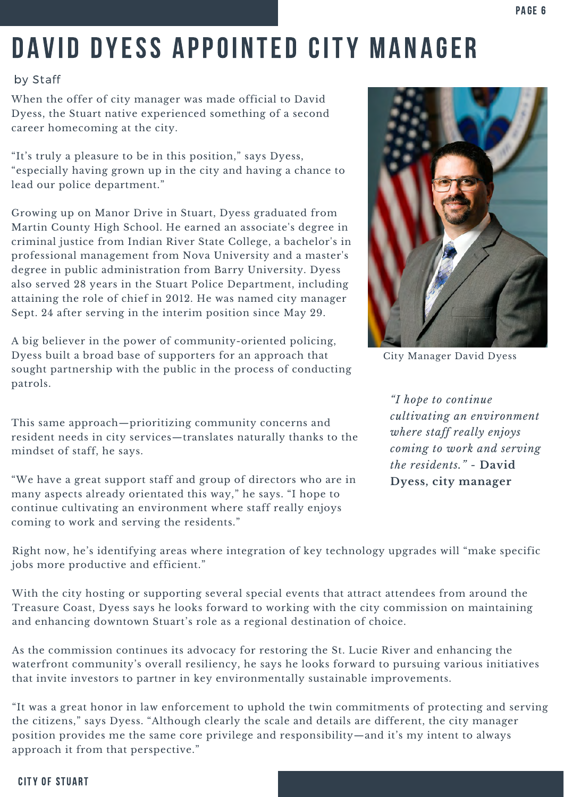## DAVID DYESS APPOINTED CITY MANAGER

#### by Staff

 When the offer of city manager was made official to David Dyess, the Stuart native experienced something of a second career homecoming at the city.

 "It's truly a pleasure to be in this position," says Dyess, "especially having grown up in the city and having a chance to lead our police department."

 Growing up on Manor Drive in Stuart, Dyess graduated from Martin County High School. He earned an associate's degree in criminal justice from Indian River State College, a bachelor's in professional management from Nova University and a master's degree in public administration from Barry University. Dyess also served 28 years in the Stuart Police Department, including attaining the role of chief in 2012. He was named city manager Sept. 24 after serving in the interim position since May 29.

 A big believer in the power of community-oriented policing, Dyess built a broad base of supporters for an approach that sought partnership with the public in the process of conducting patrols.

 mindset of staff, he says. *coming to work and serving cultivating an environment* This same approach—prioritizing community concerns and *where staff really enjoys* resident needs in city services—translates naturally thanks to the mindset of staff, he says.

 "We have a great support staff and group of directors who are in **Dyess, city manager**  many aspects already orientated this way," he says. "I hope to continue cultivating an environment where staff really enjoys coming to work and serving the residents."



City Manager David Dyess

 *"I hope to continue cultivating an environment where staff really enjoys the residents."* - **David**  Dyess, city manager

 Right now, he's identifying areas where integration of key technology upgrades will "make specific jobs more productive and efficient."

 With the city hosting or supporting several special events that attract attendees from around the Treasure Coast, Dyess says he looks forward to working with the city commission on maintaining and enhancing downtown Stuart's role as a regional destination of choice.

 As the commission continues its advocacy for restoring the St. Lucie River and enhancing the waterfront community's overall resiliency, he says he looks forward to pursuing various initiatives that invite investors to partner in key environmentally sustainable improvements.

 "It was a great honor in law enforcement to uphold the twin commitments of protecting and serving the citizens," says Dyess. "Although clearly the scale and details are different, the city manager position provides me the same core privilege and responsibility—and it's my intent to always approach it from that perspective."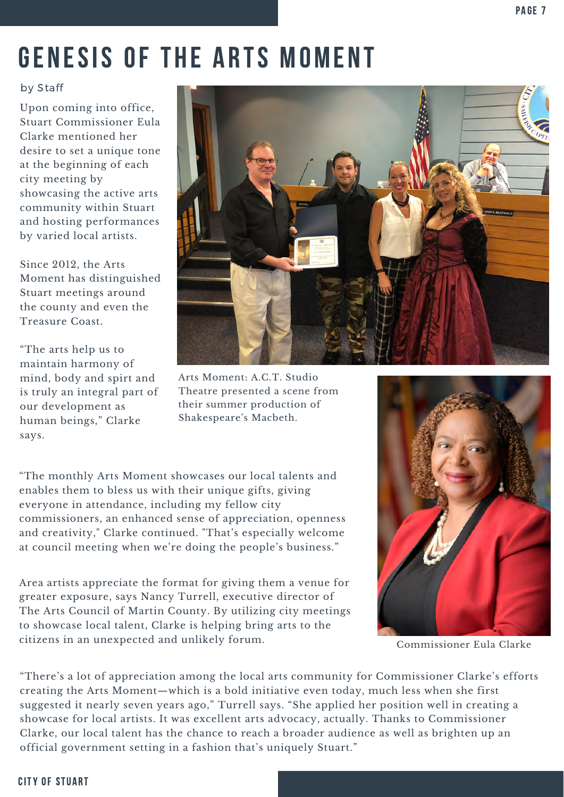## GENESIS OF THE ARTS MOMENT

#### by Staff

 Upon coming into office, desire to set a unique tone at the beginning of each city meeting by showcasing the active arts community within Stuart and hosting performances by varied local artists. Stuart Commissioner Eula Clarke mentioned her

 Since 2012, the Arts Moment has distinguished the county and even the Treasure Coast. Stuart meetings around

 "The arts help us to mind, body and spirt and is truly an integral part of human beings," Clarke maintain harmony of our development as says.



 Arts Moment: A.C.T. Studio Theatre presented a scene from their summer production of Shakespeare's Macbeth.

 "The monthly Arts Moment showcases our local talents and enables them to bless us with their unique gifts, giving everyone in attendance, including my fellow city commissioners, an enhanced sense of appreciation, openness and creativity," Clarke continued. "That's especially welcome at council meeting when we're doing the people's business."

 Area artists appreciate the format for giving them a venue for greater exposure, says Nancy Turrell, executive director of The Arts Council of Martin County. By utilizing city meetings to showcase local talent, Clarke is helping bring arts to the citizens in an unexpected and unlikely forum. Commissioner Eula Clarke



 "There's a lot of appreciation among the local arts community for Commissioner Clarke's efforts creating the Arts Moment—which is a bold initiative even today, much less when she first suggested it nearly seven years ago," Turrell says. "She applied her position well in creating a showcase for local artists. It was excellent arts advocacy, actually. Thanks to Commissioner Clarke, our local talent has the chance to reach a broader audience as well as brighten up an official government setting in a fashion that's uniquely Stuart."

#### **CITY OF STUART**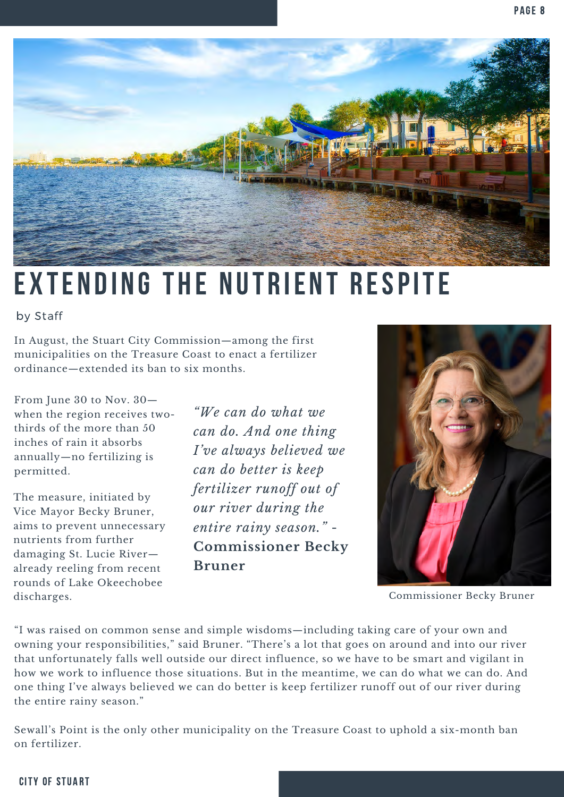

### $\overline{a}$ EXTENDING THE NUTRIENT RESPITE

#### by Staff

 In August, the Stuart City Commission—among the first municipalities on the Treasure Coast to enact a fertilizer ordinance—extended its ban to six months.

 thirds of the more than 50 *can do. And one thing*  inches of rain it absorbs *I've always believed we* annually—no fertilizing is  permitted. *can do better is keep*  From June 30 to Nov. 30— when the region receives two- *"We can do what we*  thirds of the more than 50 inches of rain it absorbs permitted.

 aims to prevent unnecessary *entire rainy season."* - The measure, initiated by Vice Mayor Becky Bruner, *our river during the*  aims to prevent unnecessary nutrients from further damaging St. Lucie River- already reeling from recent **Bruner** rounds of Lake Okeechobee discharges.

"*We can do what we* The measure, initiated by *fertilizer runoff out of* our river during the **Commissioner Becky** 



Commissioner Becky Bruner

 "I was raised on common sense and simple wisdoms—including taking care of your own and owning your responsibilities," said Bruner. "There's a lot that goes on around and into our river that unfortunately falls well outside our direct influence, so we have to be smart and vigilant in how we work to influence those situations. But in the meantime, we can do what we can do. And one thing I've always believed we can do better is keep fertilizer runoff out of our river during the entire rainy season."

 Sewall's Point is the only other municipality on the Treasure Coast to uphold a six-month ban on fertilizer.